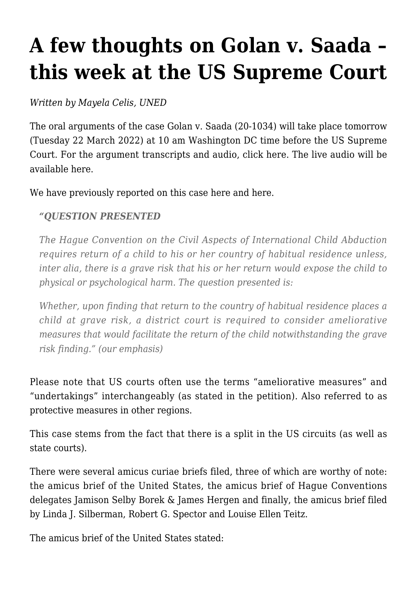## **[A few thoughts on Golan v. Saada –](https://conflictoflaws.net/2022/a-few-thoughts-on-golan-v-saada-this-week-at-the-us-supreme-court/) [this week at the US Supreme Court](https://conflictoflaws.net/2022/a-few-thoughts-on-golan-v-saada-this-week-at-the-us-supreme-court/)**

*Written by Mayela Celis, UNED*

The oral arguments of the case [Golan v. Saada](https://www.supremecourt.gov/docket/docketfiles/html/public/20-1034.html) (20-1034) will take place tomorrow (Tuesday 22 March 2022) at 10 am Washington DC time before the US Supreme Court. For the argument transcripts and audio, click [here.](https://www.supremecourt.gov/oral_arguments/oral_arguments.aspx) The live audio will be available [here.](https://www.supremecourt.gov/oral_arguments/live.aspx)

We have previously reported on this case [here](https://conflictoflaws.net/2021/the-hcch-child-abduction-convention-and-the-grave-risk-exception-a-petition-for-a-writ-of-certiorari-is-pending-before-the-us-supreme-court-golan-v-saada/) and [here.](https://conflictoflaws.net/2021/golan-v-saada-a-new-hague-child-abduction-case-at-the-u-s-supreme-court/)

## *"QUESTION PRESENTED*

*The Hague Convention on the Civil Aspects of International Child Abduction requires return of a child to his or her country of habitual residence unless, inter alia, there is a grave risk that his or her return would expose the child to physical or psychological harm. The question presented is:*

*Whether, upon finding that return to the country of habitual residence places a child at grave risk, a district court is required to consider ameliorative measures that would facilitate the return of the child notwithstanding the grave risk finding." (our emphasis)*

Please note that US courts often use the terms "ameliorative measures" and "undertakings" interchangeably (as stated in the petition). Also referred to as protective measures in other regions.

This case stems from the fact that there is a split in the US circuits (as well as state courts).

There were several amicus curiae briefs filed, three of which are worthy of note: the [amicus brief of the United States,](https://www.supremecourt.gov/DocketPDF/20/20-1034/211499/20220126212251639_20-1034%20bsacUnitedStates.pdf) the [amicus brief of Hague Conventions](https://www.supremecourt.gov/DocketPDF/20/20-1034/211384/20220126103928731_Amicus%20Brief%20on%20Behalf%20of%20Hague%20Convention%20Delegates.pdf) [delegates Jamison Selby Borek & James Hergen](https://www.supremecourt.gov/DocketPDF/20/20-1034/211384/20220126103928731_Amicus%20Brief%20on%20Behalf%20of%20Hague%20Convention%20Delegates.pdf) and finally, the [amicus brief filed](https://www.supremecourt.gov/DocketPDF/20/20-1034/215062/20220225160535265_HagueAmicus%20Main%20E%20FILE%20Feb%2025%2022.pdf) [by Linda J. Silberman, Robert G. Spector and Louise Ellen Teitz.](https://www.supremecourt.gov/DocketPDF/20/20-1034/215062/20220225160535265_HagueAmicus%20Main%20E%20FILE%20Feb%2025%2022.pdf)

The amicus brief of the United States stated: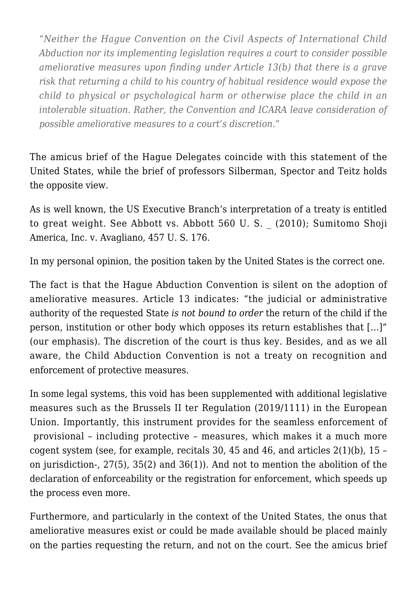*"Neither the Hague Convention on the Civil Aspects of International Child Abduction nor its implementing legislation requires a court to consider possible ameliorative measures upon finding under Article 13(b) that there is a grave risk that returning a child to his country of habitual residence would expose the child to physical or psychological harm or otherwise place the child in an intolerable situation. Rather, the Convention and ICARA leave consideration of possible ameliorative measures to a court's discretion."*

The amicus brief of the Hague Delegates coincide with this statement of the United States, while the brief of professors Silberman, Spector and Teitz holds the opposite view.

As is well known, the US Executive Branch's interpretation of a treaty is entitled to great weight. See Abbott vs. Abbott 560 U. S. \_ (2010); Sumitomo Shoji America, Inc. v. Avagliano, 457 U. S. 176.

In my personal opinion, the position taken by the United States is the correct one.

The fact is that the Hague Abduction Convention is silent on the adoption of ameliorative measures. Article 13 indicates: "the judicial or administrative authority of the requested State *is not bound to order* the return of the child if the person, institution or other body which opposes its return establishes that […]" (our emphasis). The discretion of the court is thus key. Besides, and as we all aware, the Child Abduction Convention is not a treaty on recognition and enforcement of protective measures.

In some legal systems, this void has been supplemented with additional legislative measures such as the [Brussels II ter Regulation \(2019/1111\)](https://eur-lex.europa.eu/legal-content/EN/TXT/?uri=CELLAR%3A524570fa-9c9a-11e9-9d01-01aa75ed71a1) in the European Union. Importantly, this instrument provides for the seamless enforcement of provisional – including protective – measures, which makes it a much more cogent system (see, for example, recitals 30, 45 and 46, and articles  $2(1)(b)$ , 15 – on jurisdiction-, 27(5), 35(2) and 36(1)). And not to mention the abolition of the declaration of enforceability or the registration for enforcement, which speeds up the process even more.

Furthermore, and particularly in the context of the United States, the onus that ameliorative measures exist or could be made available should be placed mainly on the parties requesting the return, and not on the court. See the [amicus brief](https://www.supremecourt.gov/DocketPDF/20/20-1034/211443/20220126142124610_20-1034_Amicus%20Brief.pdf)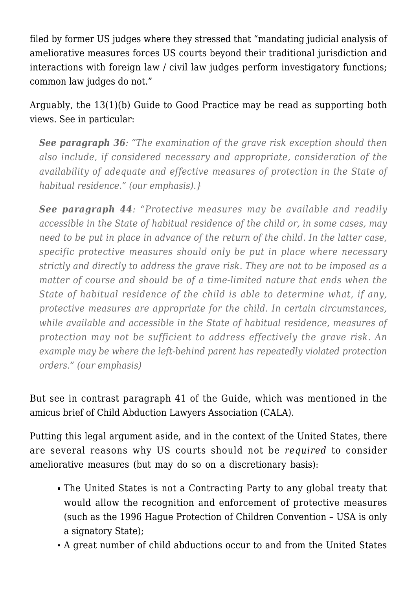[filed by former US judges](https://www.supremecourt.gov/DocketPDF/20/20-1034/211443/20220126142124610_20-1034_Amicus%20Brief.pdf) where they stressed that "mandating judicial analysis of ameliorative measures forces US courts beyond their traditional jurisdiction and interactions with foreign law / civil law judges perform investigatory functions; common law judges do not."

Arguably, the 13(1)(b) Guide to Good Practice may be read as supporting both views. See in particular:

*See paragraph 36: "The examination of the grave risk exception should then also include, if considered necessary and appropriate, consideration of the availability of adequate and effective measures of protection in the State of habitual residence." (our emphasis).}*

*See paragraph 44: "Protective measures may be available and readily accessible in the State of habitual residence of the child or, in some cases, may need to be put in place in advance of the return of the child. In the latter case, specific protective measures should only be put in place where necessary strictly and directly to address the grave risk. They are not to be imposed as a matter of course and should be of a time-limited nature that ends when the State of habitual residence of the child is able to determine what, if any, protective measures are appropriate for the child. In certain circumstances, while available and accessible in the State of habitual residence, measures of protection may not be sufficient to address effectively the grave risk. An example may be where the left-behind parent has repeatedly violated protection orders." (our emphasis)*

But see in contrast paragraph 41 of the Guide, which was mentioned in the amicus brief of [Child Abduction Lawyers Association \(CALA\)](https://www.supremecourt.gov/DocketPDF/20/20-1034/214956/20220225094456311_CALA%20INTERVENTION%20IN%20USSC%20-%2022.02.24.pdf).

Putting this legal argument aside, and in the context of the United States, there are several reasons why US courts should not be *required* to consider ameliorative measures (but may do so on a discretionary basis):

- The United States is not a Contracting Party to any global treaty that would allow the recognition and enforcement of protective measures (such as the 1996 Hague Protection of Children Convention – USA is only a signatory State);
- A great number of child abductions occur to and from the United States